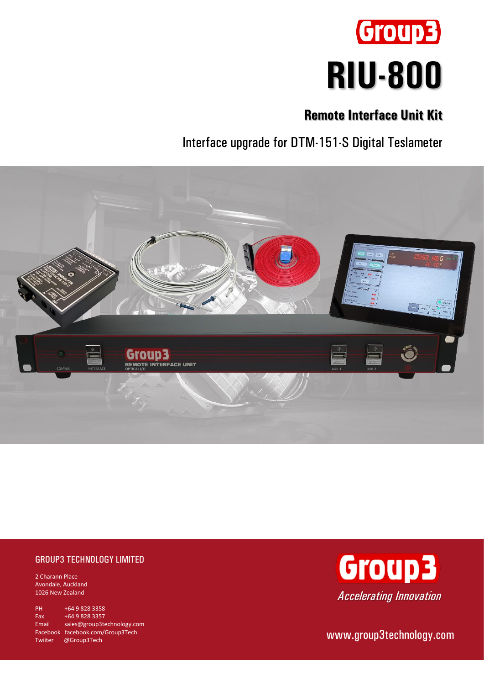

## **Remote Interface Unit Kit**

Interface upgrade for DTM-151-S Digital Teslameter



## GROUP3 TECHNOLOGY LIMITED

2 Charann Place Avondale, Auckland 1026 New Zealand

PH +64 9 828 3358 Fax +64 9 828 3357 Email [sales@group3technology.com](mailto:sales@group3technology.com) Facebook [facebook.com/Group3Tech](http://www.facebook.com/Group3Tech) Twiiter @Group3Tech



www.group3technology.com